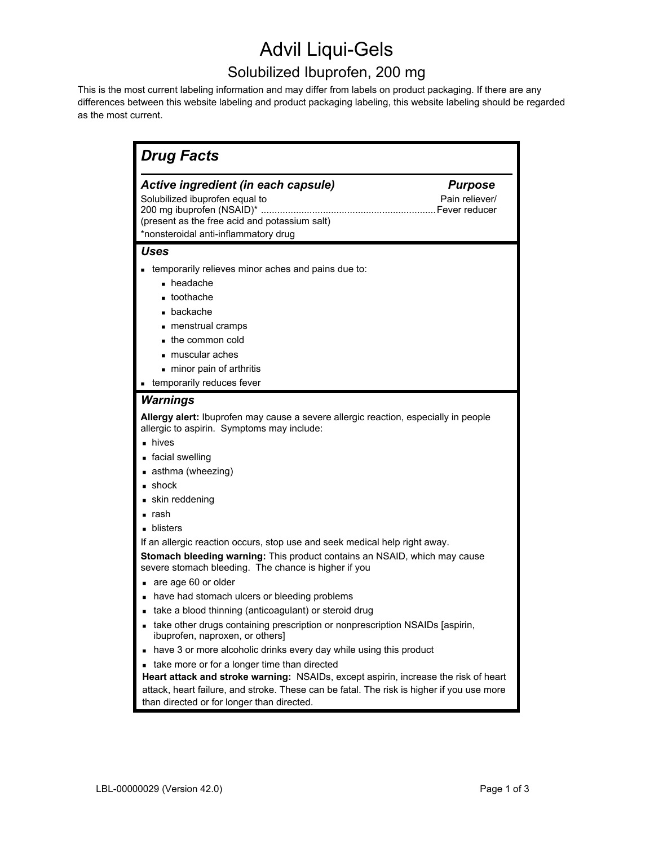## Advil Liqui-Gels

## Solubilized Ibuprofen, 200 mg

This is the most current labeling information and may differ from labels on product packaging. If there are any differences between this website labeling and product packaging labeling, this website labeling should be regarded as the most current.

| Active ingredient (in each capsule)<br>Solubilized ibuprofen equal to<br>(present as the free acid and potassium salt)<br>*nonsteroidal anti-inflammatory drug<br>Uses<br>temporarily relieves minor aches and pains due to:<br>$\blacksquare$ headache<br>toothache<br>$\blacksquare$ backache<br>menstrual cramps<br>$\blacksquare$ the common cold<br>muscular aches<br>- minor pain of arthritis<br>temporarily reduces fever<br>٠<br><b>Warnings</b><br>Allergy alert: Ibuprofen may cause a severe allergic reaction, especially in people<br>allergic to aspirin. Symptoms may include:<br>$\blacksquare$ hives | <b>Purpose</b><br>Pain reliever/ |
|------------------------------------------------------------------------------------------------------------------------------------------------------------------------------------------------------------------------------------------------------------------------------------------------------------------------------------------------------------------------------------------------------------------------------------------------------------------------------------------------------------------------------------------------------------------------------------------------------------------------|----------------------------------|
|                                                                                                                                                                                                                                                                                                                                                                                                                                                                                                                                                                                                                        |                                  |
|                                                                                                                                                                                                                                                                                                                                                                                                                                                                                                                                                                                                                        |                                  |
|                                                                                                                                                                                                                                                                                                                                                                                                                                                                                                                                                                                                                        |                                  |
|                                                                                                                                                                                                                                                                                                                                                                                                                                                                                                                                                                                                                        |                                  |
|                                                                                                                                                                                                                                                                                                                                                                                                                                                                                                                                                                                                                        |                                  |
| ■ facial swelling<br>■ asthma (wheezing)                                                                                                                                                                                                                                                                                                                                                                                                                                                                                                                                                                               |                                  |
| $\blacksquare$ shock                                                                                                                                                                                                                                                                                                                                                                                                                                                                                                                                                                                                   |                                  |
| skin reddening                                                                                                                                                                                                                                                                                                                                                                                                                                                                                                                                                                                                         |                                  |
| rash                                                                                                                                                                                                                                                                                                                                                                                                                                                                                                                                                                                                                   |                                  |
| blisters                                                                                                                                                                                                                                                                                                                                                                                                                                                                                                                                                                                                               |                                  |
| If an allergic reaction occurs, stop use and seek medical help right away.<br>Stomach bleeding warning: This product contains an NSAID, which may cause<br>severe stomach bleeding. The chance is higher if you<br>are age 60 or older                                                                                                                                                                                                                                                                                                                                                                                 |                                  |
| have had stomach ulcers or bleeding problems                                                                                                                                                                                                                                                                                                                                                                                                                                                                                                                                                                           |                                  |
| take a blood thinning (anticoagulant) or steroid drug                                                                                                                                                                                                                                                                                                                                                                                                                                                                                                                                                                  |                                  |
| take other drugs containing prescription or nonprescription NSAIDs [aspirin,<br>ibuprofen, naproxen, or others]                                                                                                                                                                                                                                                                                                                                                                                                                                                                                                        |                                  |
| have 3 or more alcoholic drinks every day while using this product<br>п                                                                                                                                                                                                                                                                                                                                                                                                                                                                                                                                                |                                  |
| take more or for a longer time than directed<br>п                                                                                                                                                                                                                                                                                                                                                                                                                                                                                                                                                                      |                                  |
| Heart attack and stroke warning: NSAIDs, except aspirin, increase the risk of heart<br>attack, heart failure, and stroke. These can be fatal. The risk is higher if you use more<br>than directed or for longer than directed.                                                                                                                                                                                                                                                                                                                                                                                         |                                  |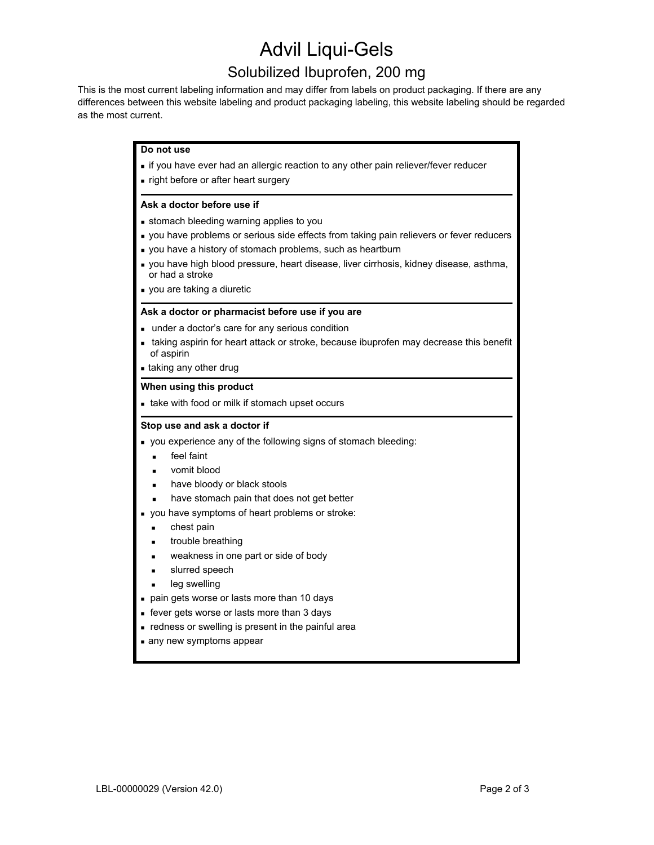# Advil Liqui-Gels

### Solubilized Ibuprofen, 200 mg

This is the most current labeling information and may differ from labels on product packaging. If there are any differences between this website labeling and product packaging labeling, this website labeling should be regarded as the most current.

#### **Do not use**

- **if you have ever had an allergic reaction to any other pain reliever/fever reducer**
- **right before or after heart surgery**

#### **Ask a doctor before use if**

- stomach bleeding warning applies to you
- **vou have problems or serious side effects from taking pain relievers or fever reducers**
- you have a history of stomach problems, such as heartburn
- you have high blood pressure, heart disease, liver cirrhosis, kidney disease, asthma, or had a stroke
- vou are taking a diuretic

#### **Ask a doctor or pharmacist before use if you are**

- under a doctor's care for any serious condition
- **taking aspirin for heart attack or stroke, because ibuprofen may decrease this benefit** of aspirin

taking any other drug

#### **When using this product**

**take with food or milk if stomach upset occurs** 

#### **Stop use and ask a doctor if**

- you experience any of the following signs of stomach bleeding:
	- **feel faint**
	- **vomit blood**
	- have bloody or black stools
	- have stomach pain that does not get better
- you have symptoms of heart problems or stroke:
	- **chest pain**
	- trouble breathing
	- **EXECUTE:** weakness in one part or side of body
	- **slurred speech**
	- leg swelling
- **pain gets worse or lasts more than 10 days**
- **fever gets worse or lasts more than 3 days**
- redness or swelling is present in the painful area
- any new symptoms appear